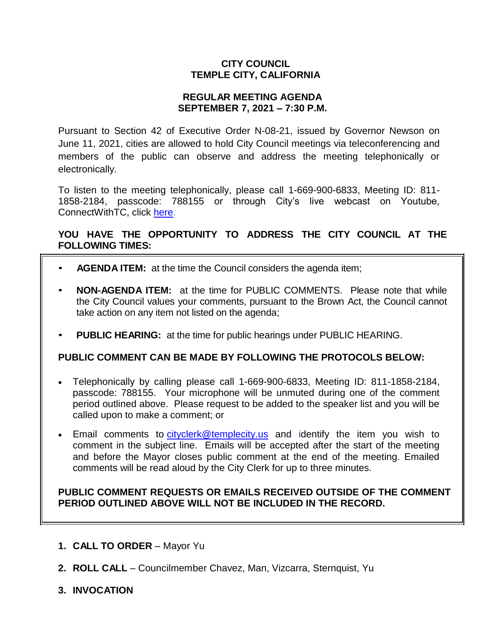# **CITY COUNCIL TEMPLE CITY, CALIFORNIA**

### **REGULAR MEETING AGENDA SEPTEMBER 7, 2021 – 7:30 P.M.**

Pursuant to Section 42 of Executive Order N-08-21, issued by Governor Newson on June 11, 2021, cities are allowed to hold City Council meetings via teleconferencing and members of the public can observe and address the meeting telephonically or electronically.

To listen to the meeting telephonically, please call 1-669-900-6833, Meeting ID: 811- 1858-2184, passcode: 788155 or through City's live webcast on Youtube, ConnectWithTC, click [here.](https://www.ci.temple-city.ca.us/516/Meeting-Webcast)

# **YOU HAVE THE OPPORTUNITY TO ADDRESS THE CITY COUNCIL AT THE FOLLOWING TIMES:**

- **AGENDA ITEM:** at the time the Council considers the agenda item;
- **NON-AGENDA ITEM:** at the time for PUBLIC COMMENTS. Please note that while the City Council values your comments, pursuant to the Brown Act, the Council cannot take action on any item not listed on the agenda;
- **PUBLIC HEARING:** at the time for public hearings under PUBLIC HEARING.

### **PUBLIC COMMENT CAN BE MADE BY FOLLOWING THE PROTOCOLS BELOW:**

- Telephonically by calling please call 1-669-900-6833, Meeting ID: 811-1858-2184, passcode: 788155. Your microphone will be unmuted during one of the comment period outlined above. Please request to be added to the speaker list and you will be called upon to make a comment; or
- Email comments to [cityclerk@templecity.us](mailto:cityclerk@templecity.us) and identify the item you wish to comment in the subject line. Emails will be accepted after the start of the meeting and before the Mayor closes public comment at the end of the meeting. Emailed comments will be read aloud by the City Clerk for up to three minutes.

### **PUBLIC COMMENT REQUESTS OR EMAILS RECEIVED OUTSIDE OF THE COMMENT PERIOD OUTLINED ABOVE WILL NOT BE INCLUDED IN THE RECORD.**

- **1. CALL TO ORDER**  Mayor Yu
- **2. ROLL CALL**  Councilmember Chavez, Man, Vizcarra, Sternquist, Yu
- **3. INVOCATION**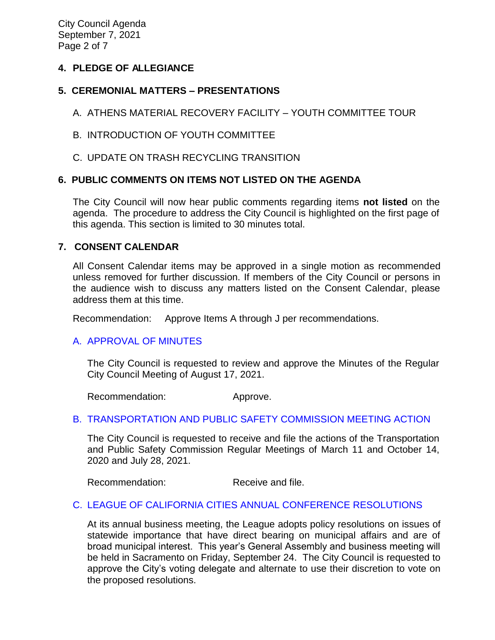City Council Agenda September 7, 2021 Page 2 of 7

## **4. PLEDGE OF ALLEGIANCE**

# **5. CEREMONIAL MATTERS – PRESENTATIONS**

- A. ATHENS MATERIAL RECOVERY FACILITY YOUTH COMMITTEE TOUR
- B. INTRODUCTION OF YOUTH COMMITTEE
- C. UPDATE ON TRASH RECYCLING TRANSITION

# **6. PUBLIC COMMENTS ON ITEMS NOT LISTED ON THE AGENDA**

The City Council will now hear public comments regarding items **not listed** on the agenda. The procedure to address the City Council is highlighted on the first page of this agenda. This section is limited to 30 minutes total.

### **7. CONSENT CALENDAR**

All Consent Calendar items may be approved in a single motion as recommended unless removed for further discussion. If members of the City Council or persons in the audience wish to discuss any matters listed on the Consent Calendar, please address them at this time.

Recommendation: Approve Items A through J per recommendations.

### [A. APPROVAL OF MINUTES](https://www.ci.temple-city.ca.us/DocumentCenter/View/16691/7A_CCM---2021-08-17)

The City Council is requested to review and approve the Minutes of the Regular City Council Meeting of August 17, 2021.

Recommendation: Approve.

### [B. TRANSPORTATION AND PUBLIC SAFETY COMMISSION MEETING ACTION](https://www.ci.temple-city.ca.us/DocumentCenter/View/16692/7B_2021-09-07-Transportation-and-Public-Safety-Commission-Actions_v2)

The City Council is requested to receive and file the actions of the Transportation and Public Safety Commission Regular Meetings of March 11 and October 14, 2020 and July 28, 2021.

Recommendation: Receive and file.

### C. [LEAGUE OF CALIFORNIA CITIES ANNUAL CONFERENCE RESOLUTIONS](https://www.ci.temple-city.ca.us/DocumentCenter/View/16693/7C_Annual-League-of-California-Cities-Conference-Resolutions-2021_Staff-Report-w-attachment)

At its annual business meeting, the League adopts policy resolutions on issues of statewide importance that have direct bearing on municipal affairs and are of broad municipal interest. This year's General Assembly and business meeting will be held in Sacramento on Friday, September 24. The City Council is requested to approve the City's voting delegate and alternate to use their discretion to vote on the proposed resolutions.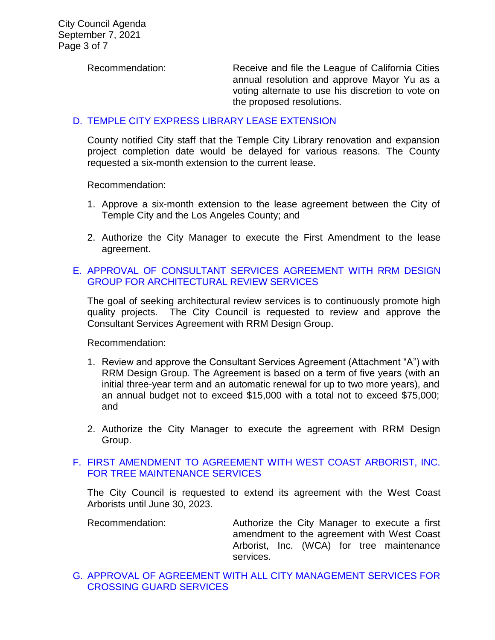Recommendation: Receive and file the League of California Cities annual resolution and approve Mayor Yu as a voting alternate to use his discretion to vote on the proposed resolutions.

### D. TEMPLE CITY EXPRESS [LIBRARY LEASE EXTENSION](https://www.ci.temple-city.ca.us/DocumentCenter/View/16694/7D_Express-Library-Lease_Staff-Report)

County notified City staff that the Temple City Library renovation and expansion project completion date would be delayed for various reasons. The County requested a six-month extension to the current lease.

Recommendation:

- 1. Approve a six-month extension to the lease agreement between the City of Temple City and the Los Angeles County; and
- 2. Authorize the City Manager to execute the First Amendment to the lease agreement.

## E. [APPROVAL OF CONSULTANT SERVICES AGREEMENT WITH RRM DESIGN](https://www.ci.temple-city.ca.us/DocumentCenter/View/16695/7E_Architectural-Review-Services_Staff-Report-2021-w-attachment)  [GROUP FOR ARCHITECTURAL REVIEW SERVICES](https://www.ci.temple-city.ca.us/DocumentCenter/View/16695/7E_Architectural-Review-Services_Staff-Report-2021-w-attachment)

The goal of seeking architectural review services is to continuously promote high quality projects. The City Council is requested to review and approve the Consultant Services Agreement with RRM Design Group.

Recommendation:

- 1. Review and approve the Consultant Services Agreement (Attachment "A") with RRM Design Group. The Agreement is based on a term of five years (with an initial three-year term and an automatic renewal for up to two more years), and an annual budget not to exceed \$15,000 with a total not to exceed \$75,000; and
- 2. Authorize the City Manager to execute the agreement with RRM Design Group.

### F. [FIRST AMENDMENT TO AGREEMENT WITH WEST COAST ARBORIST, INC.](https://www.ci.temple-city.ca.us/DocumentCenter/View/16696/7F_WCA_Staff-Report_First-Amendment-to-Agreement-w-attachments)  [FOR TREE MAINTENANCE SERVICES](https://www.ci.temple-city.ca.us/DocumentCenter/View/16696/7F_WCA_Staff-Report_First-Amendment-to-Agreement-w-attachments)

The City Council is requested to extend its agreement with the West Coast Arborists until June 30, 2023.

Recommendation: Authorize the City Manager to execute a first amendment to the agreement with West Coast Arborist, Inc. (WCA) for tree maintenance services.

G. [APPROVAL OF AGREEMENT WITH ALL CITY MANAGEMENT SERVICES FOR](https://www.ci.temple-city.ca.us/DocumentCenter/View/16697/7G_All-City-Management-Services_Staff-Report_v2-w-attachment)  [CROSSING GUARD SERVICES](https://www.ci.temple-city.ca.us/DocumentCenter/View/16697/7G_All-City-Management-Services_Staff-Report_v2-w-attachment)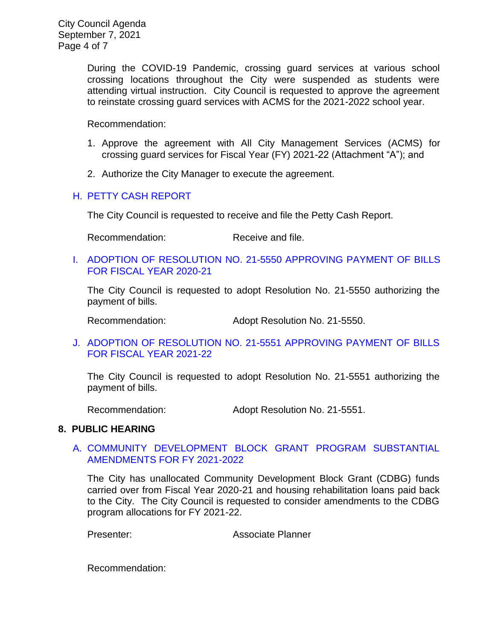City Council Agenda September 7, 2021 Page 4 of 7

> During the COVID-19 Pandemic, crossing guard services at various school crossing locations throughout the City were suspended as students were attending virtual instruction. City Council is requested to approve the agreement to reinstate crossing guard services with ACMS for the 2021-2022 school year.

Recommendation:

- 1. Approve the agreement with All City Management Services (ACMS) for crossing guard services for Fiscal Year (FY) 2021-22 (Attachment "A"); and
- 2. Authorize the City Manager to execute the agreement.

#### H. [PETTY CASH REPORT](https://www.ci.temple-city.ca.us/DocumentCenter/View/16698/7H_Petty-Cash-Report-9-7-21)

The City Council is requested to receive and file the Petty Cash Report.

Recommendation: Receive and file.

I. [ADOPTION OF RESOLUTION NO. 21-5550 APPROVING PAYMENT OF BILLS](https://www.ci.temple-city.ca.us/DocumentCenter/View/16699/7I_Warrant-Register-90721-FY2021)  [FOR FISCAL YEAR 2020-21](https://www.ci.temple-city.ca.us/DocumentCenter/View/16699/7I_Warrant-Register-90721-FY2021) 

The City Council is requested to adopt Resolution No. 21-5550 authorizing the payment of bills.

Recommendation: Adopt Resolution No. 21-5550.

J. [ADOPTION OF RESOLUTION NO. 21-5551 APPROVING PAYMENT OF BILLS](https://www.ci.temple-city.ca.us/DocumentCenter/View/16700/7J_Warrant-Register-90721-FY2122)  [FOR FISCAL YEAR 2021-22](https://www.ci.temple-city.ca.us/DocumentCenter/View/16700/7J_Warrant-Register-90721-FY2122)

The City Council is requested to adopt Resolution No. 21-5551 authorizing the payment of bills.

Recommendation: Adopt Resolution No. 21-5551.

#### **8. PUBLIC HEARING**

### A. [COMMUNITY DEVELOPMENT BLOCK GRANT PROGRAM SUBSTANTIAL](https://www.ci.temple-city.ca.us/DocumentCenter/View/16701/8A_CDBG_Staff-Report-CDBG-Program-Amendments-w-attachment)  [AMENDMENTS FOR FY 2021-2022](https://www.ci.temple-city.ca.us/DocumentCenter/View/16701/8A_CDBG_Staff-Report-CDBG-Program-Amendments-w-attachment)

The City has unallocated Community Development Block Grant (CDBG) funds carried over from Fiscal Year 2020-21 and housing rehabilitation loans paid back to the City. The City Council is requested to consider amendments to the CDBG program allocations for FY 2021-22.

Presenter: Associate Planner

Recommendation: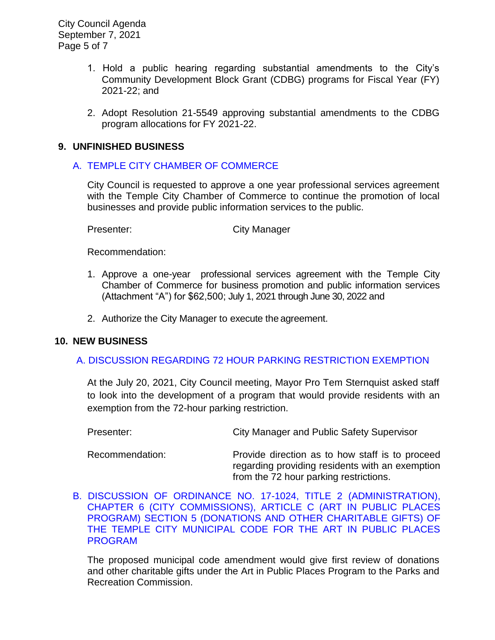City Council Agenda September 7, 2021 Page 5 of 7

- 1. Hold a public hearing regarding substantial amendments to the City's Community Development Block Grant (CDBG) programs for Fiscal Year (FY) 2021-22; and
- 2. Adopt Resolution 21-5549 approving substantial amendments to the CDBG program allocations for FY 2021-22.

### **9. UNFINISHED BUSINESS**

### A. [TEMPLE CITY CHAMBER OF COMMERCE](https://www.ci.temple-city.ca.us/DocumentCenter/View/16702/9A_Chamber-of-Commerce_Staff-Report_2021-09-07_v2-w-attachment)

City Council is requested to approve a one year professional services agreement with the Temple City Chamber of Commerce to continue the promotion of local businesses and provide public information services to the public.

Presenter: City Manager

Recommendation:

- 1. Approve a one-year professional services agreement with the Temple City Chamber of Commerce for business promotion and public information services (Attachment "A") for \$62,500; July 1, 2021 through June 30, 2022 and
- 2. Authorize the City Manager to execute the agreement.

#### **10. NEW BUSINESS**

### [A. DISCUSSION REGARDING 72 HOUR PARKING RESTRICTION EXEMPTION](https://www.ci.temple-city.ca.us/DocumentCenter/View/16721/16-10A_72-Hour-Parking-Exemption_v3)

At the July 20, 2021, City Council meeting, Mayor Pro Tem Sternquist asked staff to look into the development of a program that would provide residents with an exemption from the 72-hour parking restriction.

| Presenter: | City Manager and Public Safety Supervisor |
|------------|-------------------------------------------|
|            |                                           |

Recommendation: Provide direction as to how staff is to proceed regarding providing residents with an exemption from the 72 hour parking restrictions.

[B. DISCUSSION OF ORDINANCE NO. 17-1024, TITLE 2 \(ADMINISTRATION\),](https://www.ci.temple-city.ca.us/DocumentCenter/View/16703/10B_Art-in-Public-Places-Discussion_staff-report_Art-in-Public-Places_v3)  CHAPTER 6 (CITY [COMMISSIONS\), ARTICLE C \(ART IN PUBLIC PLACES](https://www.ci.temple-city.ca.us/DocumentCenter/View/16703/10B_Art-in-Public-Places-Discussion_staff-report_Art-in-Public-Places_v3)  [PROGRAM\) SECTION 5 \(DONATIONS AND OTHER CHARITABLE GIFTS\) OF](https://www.ci.temple-city.ca.us/DocumentCenter/View/16703/10B_Art-in-Public-Places-Discussion_staff-report_Art-in-Public-Places_v3)  [THE TEMPLE CITY MUNICIPAL CODE FOR THE ART IN PUBLIC PLACES](https://www.ci.temple-city.ca.us/DocumentCenter/View/16703/10B_Art-in-Public-Places-Discussion_staff-report_Art-in-Public-Places_v3)  [PROGRAM](https://www.ci.temple-city.ca.us/DocumentCenter/View/16703/10B_Art-in-Public-Places-Discussion_staff-report_Art-in-Public-Places_v3)

The proposed municipal code amendment would give first review of donations and other charitable gifts under the Art in Public Places Program to the Parks and Recreation Commission.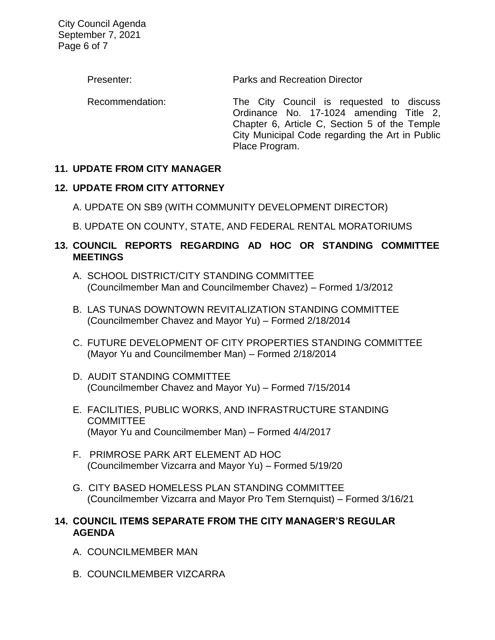City Council Agenda September 7, 2021 Page 6 of 7

Presenter: Parks and Recreation Director

Recommendation: The City Council is requested to discuss Ordinance No. 17-1024 amending Title 2, Chapter 6, Article C, Section 5 of the Temple City Municipal Code regarding the Art in Public Place Program.

# **11. UPDATE FROM CITY MANAGER**

# **12. UPDATE FROM CITY ATTORNEY**

- A. UPDATE ON SB9 (WITH COMMUNITY DEVELOPMENT DIRECTOR)
- B. UPDATE ON COUNTY, STATE, AND FEDERAL RENTAL MORATORIUMS

# **13. COUNCIL REPORTS REGARDING AD HOC OR STANDING COMMITTEE MEETINGS**

- A. SCHOOL DISTRICT/CITY STANDING COMMITTEE (Councilmember Man and Councilmember Chavez) – Formed 1/3/2012
- B. LAS TUNAS DOWNTOWN REVITALIZATION STANDING COMMITTEE (Councilmember Chavez and Mayor Yu) – Formed 2/18/2014
- C. FUTURE DEVELOPMENT OF CITY PROPERTIES STANDING COMMITTEE (Mayor Yu and Councilmember Man) – Formed 2/18/2014
- D. AUDIT STANDING COMMITTEE (Councilmember Chavez and Mayor Yu) – Formed 7/15/2014
- E. FACILITIES, PUBLIC WORKS, AND INFRASTRUCTURE STANDING **COMMITTEE** (Mayor Yu and Councilmember Man) – Formed 4/4/2017
- F. PRIMROSE PARK ART ELEMENT AD HOC (Councilmember Vizcarra and Mayor Yu) – Formed 5/19/20
- G. CITY BASED HOMELESS PLAN STANDING COMMITTEE (Councilmember Vizcarra and Mayor Pro Tem Sternquist) – Formed 3/16/21

### **14. COUNCIL ITEMS SEPARATE FROM THE CITY MANAGER'S REGULAR AGENDA**

- A. COUNCILMEMBER MAN
- B. COUNCILMEMBER VIZCARRA